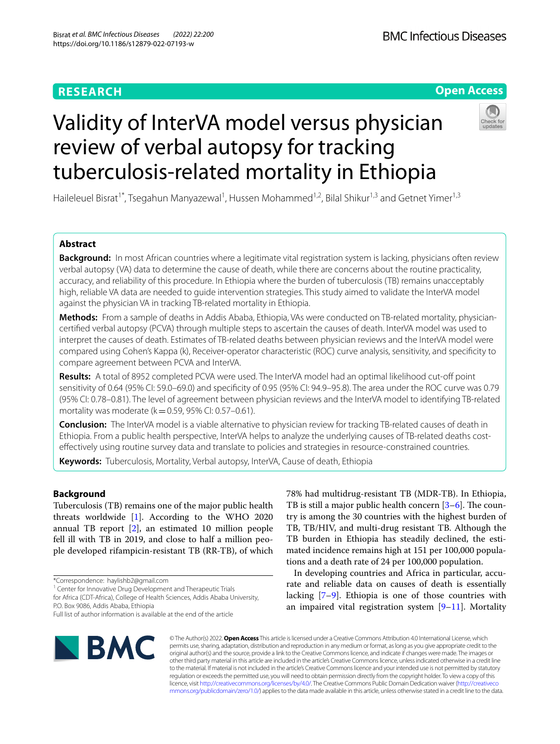# **RESEARCH**

# **Open Access**

# Validity of InterVA model versus physician review of verbal autopsy for tracking tuberculosis-related mortality in Ethiopia



Haileleuel Bisrat<sup>1\*</sup>, Tsegahun Manyazewal<sup>1</sup>, Hussen Mohammed<sup>1,2</sup>, Bilal Shikur<sup>1,3</sup> and Getnet Yimer<sup>1,3</sup>

# **Abstract**

**Background:** In most African countries where a legitimate vital registration system is lacking, physicians often review verbal autopsy (VA) data to determine the cause of death, while there are concerns about the routine practicality, accuracy, and reliability of this procedure. In Ethiopia where the burden of tuberculosis (TB) remains unacceptably high, reliable VA data are needed to guide intervention strategies. This study aimed to validate the InterVA model against the physician VA in tracking TB-related mortality in Ethiopia.

**Methods:** From a sample of deaths in Addis Ababa, Ethiopia, VAs were conducted on TB-related mortality, physiciancertifed verbal autopsy (PCVA) through multiple steps to ascertain the causes of death. InterVA model was used to interpret the causes of death. Estimates of TB-related deaths between physician reviews and the InterVA model were compared using Cohen's Kappa (k), Receiver-operator characteristic (ROC) curve analysis, sensitivity, and specifcity to compare agreement between PCVA and InterVA.

**Results:** A total of 8952 completed PCVA were used. The InterVA model had an optimal likelihood cut-of point sensitivity of 0.64 (95% CI: 59.0–69.0) and specifcity of 0.95 (95% CI: 94.9–95.8). The area under the ROC curve was 0.79 (95% CI: 0.78–0.81). The level of agreement between physician reviews and the InterVA model to identifying TB-related mortality was moderate ( $k=0.59$ , 95% CI: 0.57–0.61).

**Conclusion:** The InterVA model is a viable alternative to physician review for tracking TB-related causes of death in Ethiopia. From a public health perspective, InterVA helps to analyze the underlying causes of TB-related deaths costefectively using routine survey data and translate to policies and strategies in resource-constrained countries.

**Keywords:** Tuberculosis, Mortality, Verbal autopsy, InterVA, Cause of death, Ethiopia

# **Background**

Tuberculosis (TB) remains one of the major public health threats worldwide [[1\]](#page-7-0). According to the WHO 2020 annual TB report [\[2](#page-7-1)], an estimated 10 million people fell ill with TB in 2019, and close to half a million people developed rifampicin-resistant TB (RR-TB), of which

\*Correspondence: haylishb2@gmail.com

<sup>1</sup> Center for Innovative Drug Development and Therapeutic Trials

for Africa (CDT-Africa), College of Health Sciences, Addis Ababa University, P.O. Box 9086, Addis Ababa, Ethiopia

78% had multidrug-resistant TB (MDR-TB). In Ethiopia, TB is still a major public health concern  $[3-6]$  $[3-6]$ . The country is among the 30 countries with the highest burden of TB, TB/HIV, and multi-drug resistant TB. Although the TB burden in Ethiopia has steadily declined, the estimated incidence remains high at 151 per 100,000 populations and a death rate of 24 per 100,000 population.

In developing countries and Africa in particular, accurate and reliable data on causes of death is essentially lacking [[7–](#page-7-4)[9\]](#page-7-5). Ethiopia is one of those countries with an impaired vital registration system  $[9-11]$  $[9-11]$ . Mortality



© The Author(s) 2022. **Open Access** This article is licensed under a Creative Commons Attribution 4.0 International License, which permits use, sharing, adaptation, distribution and reproduction in any medium or format, as long as you give appropriate credit to the original author(s) and the source, provide a link to the Creative Commons licence, and indicate if changes were made. The images or other third party material in this article are included in the article's Creative Commons licence, unless indicated otherwise in a credit line to the material. If material is not included in the article's Creative Commons licence and your intended use is not permitted by statutory regulation or exceeds the permitted use, you will need to obtain permission directly from the copyright holder. To view a copy of this licence, visit [http://creativecommons.org/licenses/by/4.0/.](http://creativecommons.org/licenses/by/4.0/) The Creative Commons Public Domain Dedication waiver ([http://creativeco](http://creativecommons.org/publicdomain/zero/1.0/) [mmons.org/publicdomain/zero/1.0/](http://creativecommons.org/publicdomain/zero/1.0/)) applies to the data made available in this article, unless otherwise stated in a credit line to the data.

Full list of author information is available at the end of the article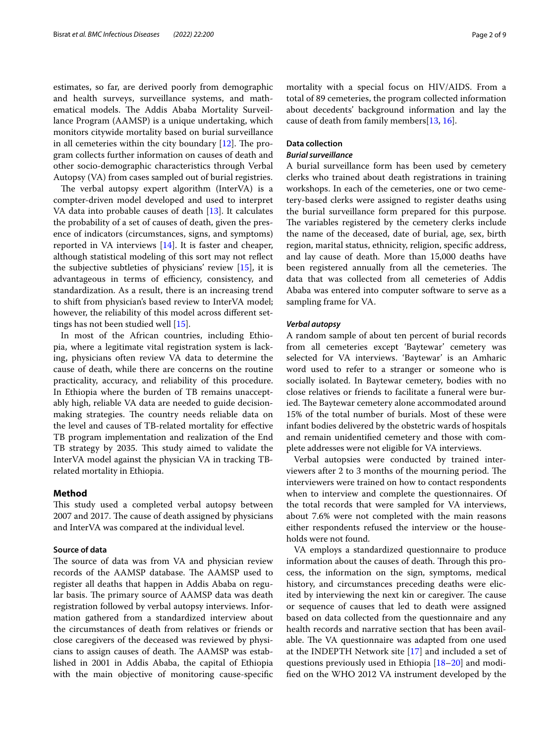estimates, so far, are derived poorly from demographic and health surveys, surveillance systems, and mathematical models. The Addis Ababa Mortality Surveillance Program (AAMSP) is a unique undertaking, which monitors citywide mortality based on burial surveillance in all cemeteries within the city boundary  $[12]$  $[12]$ . The program collects further information on causes of death and other socio-demographic characteristics through Verbal Autopsy (VA) from cases sampled out of burial registries.

The verbal autopsy expert algorithm (InterVA) is a compter-driven model developed and used to interpret VA data into probable causes of death [[13](#page-7-8)]. It calculates the probability of a set of causes of death, given the presence of indicators (circumstances, signs, and symptoms) reported in VA interviews [\[14\]](#page-7-9). It is faster and cheaper, although statistical modeling of this sort may not refect the subjective subtleties of physicians' review [\[15](#page-7-10)], it is advantageous in terms of efficiency, consistency, and standardization. As a result, there is an increasing trend to shift from physician's based review to InterVA model; however, the reliability of this model across diferent settings has not been studied well [[15](#page-7-10)].

In most of the African countries, including Ethiopia, where a legitimate vital registration system is lacking, physicians often review VA data to determine the cause of death, while there are concerns on the routine practicality, accuracy, and reliability of this procedure. In Ethiopia where the burden of TB remains unacceptably high, reliable VA data are needed to guide decisionmaking strategies. The country needs reliable data on the level and causes of TB-related mortality for efective TB program implementation and realization of the End TB strategy by 2035. This study aimed to validate the InterVA model against the physician VA in tracking TBrelated mortality in Ethiopia.

# **Method**

This study used a completed verbal autopsy between 2007 and 2017. The cause of death assigned by physicians and InterVA was compared at the individual level.

# **Source of data**

The source of data was from VA and physician review records of the AAMSP database. The AAMSP used to register all deaths that happen in Addis Ababa on regular basis. The primary source of AAMSP data was death registration followed by verbal autopsy interviews. Information gathered from a standardized interview about the circumstances of death from relatives or friends or close caregivers of the deceased was reviewed by physicians to assign causes of death. The AAMSP was established in 2001 in Addis Ababa, the capital of Ethiopia with the main objective of monitoring cause-specifc mortality with a special focus on HIV/AIDS. From a total of 89 cemeteries, the program collected information about decedents' background information and lay the cause of death from family members[[13](#page-7-8), [16\]](#page-7-11).

# **Data collection**

# *Burial surveillance*

A burial surveillance form has been used by cemetery clerks who trained about death registrations in training workshops. In each of the cemeteries, one or two cemetery-based clerks were assigned to register deaths using the burial surveillance form prepared for this purpose. The variables registered by the cemetery clerks include the name of the deceased, date of burial, age, sex, birth region, marital status, ethnicity, religion, specifc address, and lay cause of death. More than 15,000 deaths have been registered annually from all the cemeteries. The data that was collected from all cemeteries of Addis Ababa was entered into computer software to serve as a sampling frame for VA.

# *Verbal autopsy*

A random sample of about ten percent of burial records from all cemeteries except 'Baytewar' cemetery was selected for VA interviews. 'Baytewar' is an Amharic word used to refer to a stranger or someone who is socially isolated. In Baytewar cemetery, bodies with no close relatives or friends to facilitate a funeral were buried. The Baytewar cemetery alone accommodated around 15% of the total number of burials. Most of these were infant bodies delivered by the obstetric wards of hospitals and remain unidentifed cemetery and those with complete addresses were not eligible for VA interviews.

Verbal autopsies were conducted by trained interviewers after 2 to 3 months of the mourning period. The interviewers were trained on how to contact respondents when to interview and complete the questionnaires. Of the total records that were sampled for VA interviews, about 7.6% were not completed with the main reasons either respondents refused the interview or the households were not found.

VA employs a standardized questionnaire to produce information about the causes of death. Through this process, the information on the sign, symptoms, medical history, and circumstances preceding deaths were elicited by interviewing the next kin or caregiver. The cause or sequence of causes that led to death were assigned based on data collected from the questionnaire and any health records and narrative section that has been available. The VA questionnaire was adapted from one used at the INDEPTH Network site [\[17](#page-7-12)] and included a set of questions previously used in Ethiopia [\[18–](#page-7-13)[20\]](#page-7-14) and modifed on the WHO 2012 VA instrument developed by the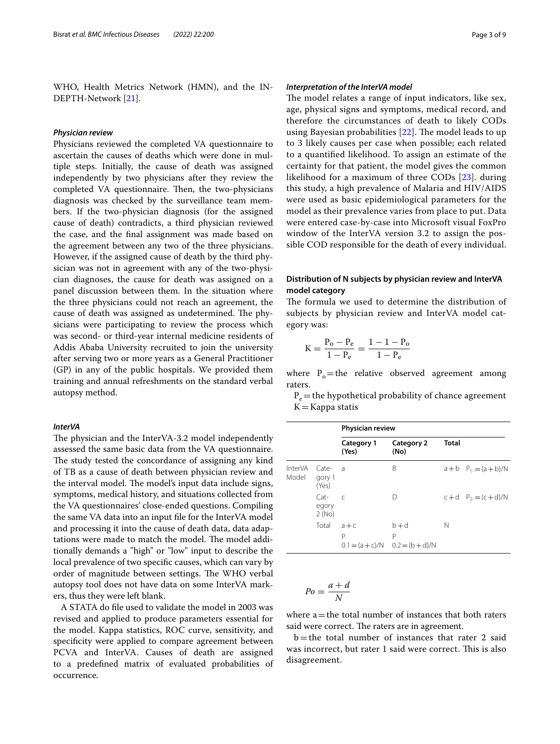WHO, Health Metrics Network (HMN), and the IN-DEPTH-Network [\[21](#page-7-15)].

## *Physician review*

Physicians reviewed the completed VA questionnaire to ascertain the causes of deaths which were done in multiple steps. Initially, the cause of death was assigned independently by two physicians after they review the completed VA questionnaire. Then, the two-physicians diagnosis was checked by the surveillance team members. If the two-physician diagnosis (for the assigned cause of death) contradicts, a third physician reviewed the case, and the fnal assignment was made based on the agreement between any two of the three physicians. However, if the assigned cause of death by the third physician was not in agreement with any of the two-physician diagnoses, the cause for death was assigned on a panel discussion between them. In the situation where the three physicians could not reach an agreement, the cause of death was assigned as undetermined. The physicians were participating to review the process which was second- or third-year internal medicine residents of Addis Ababa University recruited to join the university after serving two or more years as a General Practitioner (GP) in any of the public hospitals. We provided them training and annual refreshments on the standard verbal autopsy method.

## *InterVA*

The physician and the InterVA-3.2 model independently assessed the same basic data from the VA questionnaire. The study tested the concordance of assigning any kind of TB as a cause of death between physician review and the interval model. The model's input data include signs, symptoms, medical history, and situations collected from the VA questionnaires' close-ended questions. Compiling the same VA data into an input fle for the InterVA model and processing it into the cause of death data, data adaptations were made to match the model. The model additionally demands a "high" or "low" input to describe the local prevalence of two specifc causes, which can vary by order of magnitude between settings. The WHO verbal autopsy tool does not have data on some InterVA markers, thus they were left blank.

A STATA do fle used to validate the model in 2003 was revised and applied to produce parameters essential for the model. Kappa statistics, ROC curve, sensitivity, and specifcity were applied to compare agreement between PCVA and InterVA. Causes of death are assigned to a predefned matrix of evaluated probabilities of occurrence.

# *Interpretation of the InterVA model*

The model relates a range of input indicators, like sex, age, physical signs and symptoms, medical record, and therefore the circumstances of death to likely CODs using Bayesian probabilities  $[22]$  $[22]$ . The model leads to up to 3 likely causes per case when possible; each related to a quantifed likelihood. To assign an estimate of the certainty for that patient, the model gives the common likelihood for a maximum of three CODs [\[23](#page-7-17)]. during this study, a high prevalence of Malaria and HIV/AIDS were used as basic epidemiological parameters for the model as their prevalence varies from place to put. Data were entered case-by-case into Microsoft visual FoxPro window of the InterVA version 3.2 to assign the possible COD responsible for the death of every individual.

# **Distribution of N subjects by physician review and InterVA model category**

The formula we used to determine the distribution of subjects by physician review and InterVA model category was:

$$
K = \frac{P_o - P_e}{1 - P_e} = \frac{1 - 1 - P_o}{1 - P_e}
$$

where  $P_{o}$ =the relative observed agreement among raters.

 $P_e$  = the hypothetical probability of chance agreement  $K =$ Kappa statis

|                  |                          | Physician review           |                                                     |              |                           |
|------------------|--------------------------|----------------------------|-----------------------------------------------------|--------------|---------------------------|
|                  |                          | <b>Category 1</b><br>(Yes) | Category 2<br>(No)                                  | <b>Total</b> |                           |
| InterVA<br>Model | Cate-<br>gory 1<br>(Yes) | - a                        | В                                                   |              | $a + b$ $P_1 = (a + b)/N$ |
|                  | Cat-<br>egory<br>2(No)   | $\epsilon$                 | D                                                   |              | $c + d$ $P_2 = (c + d)/N$ |
|                  | Total                    | $a + c$<br>Р               | $b + d$<br>P<br>$0.1 = (a + c)/N$ $0.2 = (b + d)/N$ | N            |                           |

$$
Po = \frac{a+d}{N}
$$

where  $a$  = the total number of instances that both raters said were correct. The raters are in agreement.

 $b$  = the total number of instances that rater 2 said was incorrect, but rater 1 said were correct. This is also disagreement.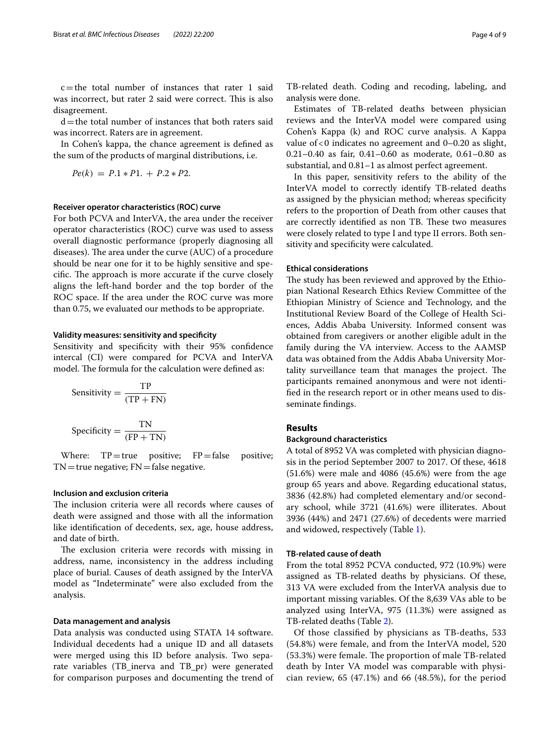c=the total number of instances that rater 1 said was incorrect, but rater 2 said were correct. This is also disagreement.

 $d$  = the total number of instances that both raters said was incorrect. Raters are in agreement.

In Cohen's kappa, the chance agreement is defned as the sum of the products of marginal distributions, i.e.

$$
Pe(k) = P.1 * P1. + P.2 * P2.
$$

# **Receiver operator characteristics (ROC) curve**

For both PCVA and InterVA, the area under the receiver operator characteristics (ROC) curve was used to assess overall diagnostic performance (properly diagnosing all diseases). The area under the curve (AUC) of a procedure should be near one for it to be highly sensitive and specific. The approach is more accurate if the curve closely aligns the left-hand border and the top border of the ROC space. If the area under the ROC curve was more than 0.75, we evaluated our methods to be appropriate.

## **Validity measures: sensitivity and specifcity**

Sensitivity and specifcity with their 95% confdence intercal (CI) were compared for PCVA and InterVA model. The formula for the calculation were defined as:

Sensitivity = 
$$
\frac{TP}{(TP + FN)}
$$
  
Specificity = 
$$
\frac{TN}{(FP + TN)}
$$

Where:  $TP = true$  positive;  $FP = false$  positive;  $TN$  = true negative;  $FN$  = false negative.

# **Inclusion and exclusion criteria**

The inclusion criteria were all records where causes of death were assigned and those with all the information like identifcation of decedents, sex, age, house address, and date of birth.

The exclusion criteria were records with missing in address, name, inconsistency in the address including place of burial. Causes of death assigned by the InterVA model as "Indeterminate" were also excluded from the analysis.

# **Data management and analysis**

Data analysis was conducted using STATA 14 software. Individual decedents had a unique ID and all datasets were merged using this ID before analysis. Two separate variables (TB\_inerva and TB\_pr) were generated for comparison purposes and documenting the trend of TB-related death. Coding and recoding, labeling, and analysis were done.

Estimates of TB-related deaths between physician reviews and the InterVA model were compared using Cohen's Kappa (k) and ROC curve analysis. A Kappa value of  $< 0$  indicates no agreement and  $0-0.20$  as slight, 0.21–0.40 as fair, 0.41–0.60 as moderate, 0.61–0.80 as substantial, and 0.81–1 as almost perfect agreement.

In this paper, sensitivity refers to the ability of the InterVA model to correctly identify TB-related deaths as assigned by the physician method; whereas specifcity refers to the proportion of Death from other causes that are correctly identified as non TB. These two measures were closely related to type I and type II errors. Both sensitivity and specifcity were calculated.

# **Ethical considerations**

The study has been reviewed and approved by the Ethiopian National Research Ethics Review Committee of the Ethiopian Ministry of Science and Technology, and the Institutional Review Board of the College of Health Sciences, Addis Ababa University. Informed consent was obtained from caregivers or another eligible adult in the family during the VA interview. Access to the AAMSP data was obtained from the Addis Ababa University Mortality surveillance team that manages the project. The participants remained anonymous and were not identifed in the research report or in other means used to disseminate fndings.

# **Results**

# **Background characteristics**

A total of 8952 VA was completed with physician diagnosis in the period September 2007 to 2017. Of these, 4618 (51.6%) were male and 4086 (45.6%) were from the age group 65 years and above. Regarding educational status, 3836 (42.8%) had completed elementary and/or secondary school, while 3721 (41.6%) were illiterates. About 3936 (44%) and 2471 (27.6%) of decedents were married and widowed, respectively (Table [1](#page-4-0)).

# **TB‑related cause of death**

From the total 8952 PCVA conducted, 972 (10.9%) were assigned as TB-related deaths by physicians. Of these, 313 VA were excluded from the InterVA analysis due to important missing variables. Of the 8,639 VAs able to be analyzed using InterVA, 975 (11.3%) were assigned as TB-related deaths (Table [2\)](#page-4-1).

Of those classifed by physicians as TB-deaths, 533 (54.8%) were female, and from the InterVA model, 520  $(53.3%)$  were female. The proportion of male TB-related death by Inter VA model was comparable with physician review, 65 (47.1%) and 66 (48.5%), for the period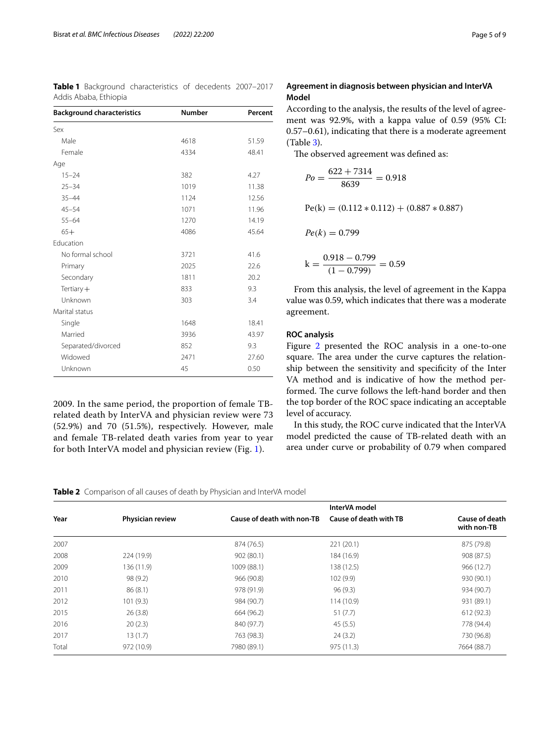| Addis Ababa, Ethiopia             |               |         |
|-----------------------------------|---------------|---------|
| <b>Background characteristics</b> | <b>Number</b> | Percent |
| Sex                               |               |         |
| Male                              | 4618          | 51.59   |
| Female                            | 4334          | 48.41   |
| Age                               |               |         |
| $15 - 24$                         | 382           | 4.27    |
| $25 - 34$                         | 1019          | 11.38   |
| $35 - 44$                         | 1124          | 12.56   |
| $45 - 54$                         | 1071          | 11.96   |
| $55 - 64$                         | 1270          | 14.19   |
| $65+$                             | 4086          | 45.64   |
| Education                         |               |         |
| No formal school                  | 3721          | 41.6    |
| Primary                           | 2025          | 22.6    |
| Secondary                         | 1811          | 20.2    |
| Tertiary $+$                      | 833           | 9.3     |
| Unknown                           | 303           | 3.4     |
| Marital status                    |               |         |
| Single                            | 1648          | 18.41   |
| Married                           | 3936          | 43.97   |
| Separated/divorced                | 852           | 9.3     |
| Widowed                           | 2471          | 27.60   |
| Unknown                           | 45            | 0.50    |

<span id="page-4-0"></span>**Table 1** Background characteristics of decedents 2007–2017

2009. In the same period, the proportion of female TBrelated death by InterVA and physician review were 73 (52.9%) and 70 (51.5%), respectively. However, male and female TB-related death varies from year to year for both InterVA model and physician review (Fig. [1\)](#page-5-0).

# **Agreement in diagnosis between physician and InterVA Model**

According to the analysis, the results of the level of agreement was 92.9%, with a kappa value of 0.59 (95% CI: 0.57–0.61), indicating that there is a moderate agreement (Table [3\)](#page-5-1).

The observed agreement was defined as:

$$
Po = \frac{622 + 7314}{8639} = 0.918
$$
  
Pe(k) = (0.112 \* 0.112) + (0.887 \* 0.887)  

$$
Pe(k) = 0.799
$$
  
k = 
$$
\frac{0.918 - 0.799}{(1 - 0.799)} = 0.59
$$

From this analysis, the level of agreement in the Kappa value was 0.59, which indicates that there was a moderate agreement.

# **ROC analysis**

Figure [2](#page-5-2) presented the ROC analysis in a one-to-one square. The area under the curve captures the relationship between the sensitivity and specifcity of the Inter VA method and is indicative of how the method performed. The curve follows the left-hand border and then the top border of the ROC space indicating an acceptable level of accuracy.

In this study, the ROC curve indicated that the InterVA model predicted the cause of TB-related death with an area under curve or probability of 0.79 when compared

# <span id="page-4-1"></span>**Table 2** Comparison of all causes of death by Physician and InterVA model

|       |                  |                            | InterVA model          |                               |
|-------|------------------|----------------------------|------------------------|-------------------------------|
| Year  | Physician review | Cause of death with non-TB | Cause of death with TB | Cause of death<br>with non-TB |
| 2007  |                  | 874 (76.5)                 | 221(20.1)              | 875 (79.8)                    |
| 2008  | 224 (19.9)       | 902(80.1)                  | 184 (16.9)             | 908 (87.5)                    |
| 2009  | 136 (11.9)       | 1009 (88.1)                | 138 (12.5)             | 966 (12.7)                    |
| 2010  | 98 (9.2)         | 966 (90.8)                 | 102(9.9)               | 930 (90.1)                    |
| 2011  | 86(8.1)          | 978 (91.9)                 | 96(9.3)                | 934 (90.7)                    |
| 2012  | 101(9.3)         | 984 (90.7)                 | 114 (10.9)             | 931 (89.1)                    |
| 2015  | 26(3.8)          | 664 (96.2)                 | 51(7.7)                | 612 (92.3)                    |
| 2016  | 20(2.3)          | 840 (97.7)                 | 45(5.5)                | 778 (94.4)                    |
| 2017  | 13(1.7)          | 763 (98.3)                 | 24(3.2)                | 730 (96.8)                    |
| Total | 972 (10.9)       | 7980 (89.1)                | 975 (11.3)             | 7664 (88.7)                   |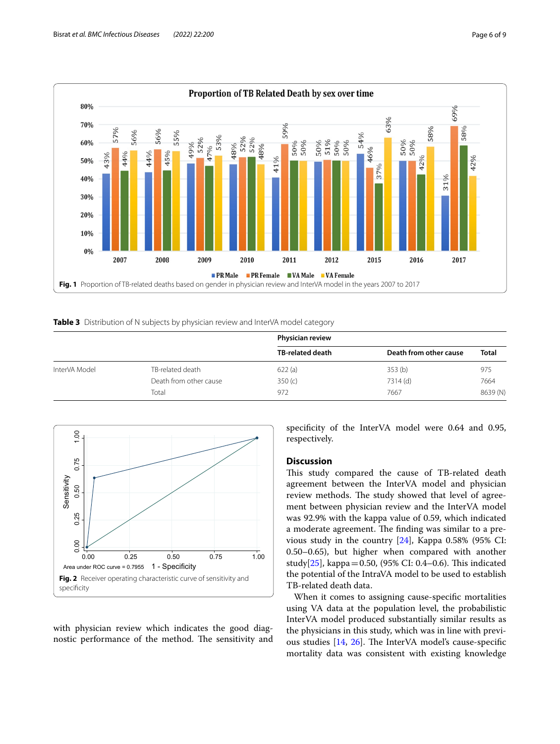

<span id="page-5-1"></span><span id="page-5-0"></span>**Table 3** Distribution of N subjects by physician review and InterVA model category

|               |                        | <b>Physician review</b> |                        |              |
|---------------|------------------------|-------------------------|------------------------|--------------|
|               |                        | TB-related death        | Death from other cause | <b>Total</b> |
| InterVA Model | TB-related death       | 622(a)                  | 353 <sub>(b)</sub>     | 975          |
|               | Death from other cause | 350(c)                  | 7314 (d)               | 7664         |
|               | Total                  | 972                     | 7667                   | 8639 (N)     |



<span id="page-5-2"></span>with physician review which indicates the good diagnostic performance of the method. The sensitivity and specifcity of the InterVA model were 0.64 and 0.95, respectively.

# **Discussion**

This study compared the cause of TB-related death agreement between the InterVA model and physician review methods. The study showed that level of agreement between physician review and the InterVA model was 92.9% with the kappa value of 0.59, which indicated a moderate agreement. The finding was similar to a previous study in the country [[24\]](#page-7-18), Kappa 0.58% (95% CI: 0.50–0.65), but higher when compared with another study $[25]$  $[25]$ , kappa = 0.50, (95% CI: 0.4–0.6). This indicated the potential of the IntraVA model to be used to establish TB-related death data.

When it comes to assigning cause-specifc mortalities using VA data at the population level, the probabilistic InterVA model produced substantially similar results as the physicians in this study, which was in line with previous studies  $[14, 26]$  $[14, 26]$  $[14, 26]$  $[14, 26]$  $[14, 26]$ . The InterVA model's cause-specific mortality data was consistent with existing knowledge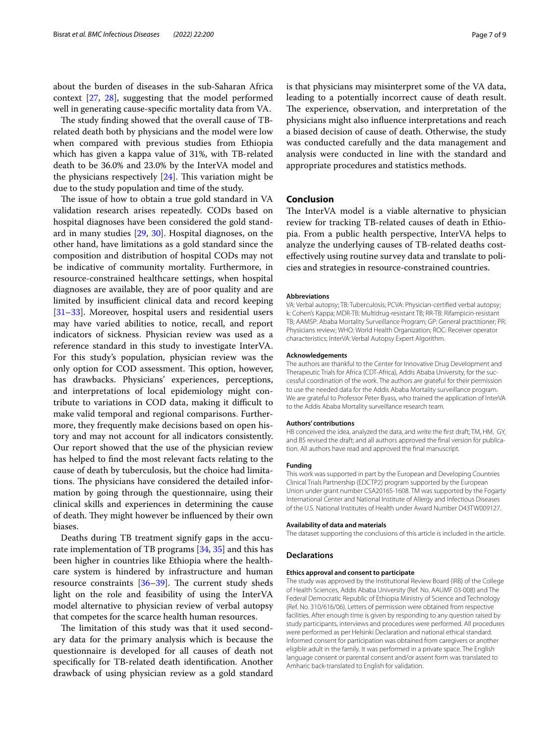about the burden of diseases in the sub-Saharan Africa context [[27,](#page-7-21) [28](#page-7-22)], suggesting that the model performed well in generating cause-specifc mortality data from VA.

The study finding showed that the overall cause of TBrelated death both by physicians and the model were low when compared with previous studies from Ethiopia which has given a kappa value of 31%, with TB-related death to be 36.0% and 23.0% by the InterVA model and the physicians respectively  $[24]$  $[24]$ . This variation might be due to the study population and time of the study.

The issue of how to obtain a true gold standard in VA validation research arises repeatedly. CODs based on hospital diagnoses have been considered the gold standard in many studies [[29,](#page-7-23) [30\]](#page-7-24). Hospital diagnoses, on the other hand, have limitations as a gold standard since the composition and distribution of hospital CODs may not be indicative of community mortality. Furthermore, in resource-constrained healthcare settings, when hospital diagnoses are available, they are of poor quality and are limited by insufficient clinical data and record keeping [[31–](#page-7-25)[33](#page-7-26)]. Moreover, hospital users and residential users may have varied abilities to notice, recall, and report indicators of sickness. Physician review was used as a reference standard in this study to investigate InterVA. For this study's population, physician review was the only option for COD assessment. This option, however, has drawbacks. Physicians' experiences, perceptions, and interpretations of local epidemiology might contribute to variations in COD data, making it difficult to make valid temporal and regional comparisons. Furthermore, they frequently make decisions based on open history and may not account for all indicators consistently. Our report showed that the use of the physician review has helped to fnd the most relevant facts relating to the cause of death by tuberculosis, but the choice had limitations. The physicians have considered the detailed information by going through the questionnaire, using their clinical skills and experiences in determining the cause of death. They might however be influenced by their own biases.

Deaths during TB treatment signify gaps in the accurate implementation of TB programs [\[34](#page-7-27), [35](#page-7-28)] and this has been higher in countries like Ethiopia where the healthcare system is hindered by infrastructure and human resource constraints  $[36-39]$  $[36-39]$  $[36-39]$ . The current study sheds light on the role and feasibility of using the InterVA model alternative to physician review of verbal autopsy that competes for the scarce health human resources.

The limitation of this study was that it used secondary data for the primary analysis which is because the questionnaire is developed for all causes of death not specifcally for TB-related death identifcation. Another drawback of using physician review as a gold standard is that physicians may misinterpret some of the VA data, leading to a potentially incorrect cause of death result. The experience, observation, and interpretation of the physicians might also infuence interpretations and reach a biased decision of cause of death. Otherwise, the study was conducted carefully and the data management and analysis were conducted in line with the standard and appropriate procedures and statistics methods.

# **Conclusion**

The InterVA model is a viable alternative to physician review for tracking TB-related causes of death in Ethiopia. From a public health perspective, InterVA helps to analyze the underlying causes of TB-related deaths costefectively using routine survey data and translate to policies and strategies in resource-constrained countries.

#### **Abbreviations**

VA: Verbal autopsy; TB: Tuberculosis; PCVA: Physician-certifed verbal autopsy; k: Cohen's Kappa; MDR-TB: Multidrug-resistant TB; RR-TB: Rifampicin-resistant TB; AAMSP: Ababa Mortality Surveillance Program; GP: General practitioner; PR: Physicians review; WHO: World Health Organization; ROC: Receiver operator characteristics; InterVA: Verbal Autopsy Expert Algorithm.

#### **Acknowledgements**

The authors are thankful to the Center for Innovative Drug Development and Therapeutic Trials for Africa (CDT-Africa), Addis Ababa University, for the successful coordination of the work. The authors are grateful for their permission to use the needed data for the Addis Ababa Mortality surveillance program. We are grateful to Professor Peter Byass, who trained the application of InterVA to the Addis Ababa Mortality surveillance research team.

#### **Authors' contributions**

HB conceived the idea, analyzed the data, and write the frst draft; TM, HM, GY, and BS revised the draft; and all authors approved the fnal version for publication. All authors have read and approved the fnal manuscript.

#### **Funding**

This work was supported in part by the European and Developing Countries Clinical Trials Partnership (EDCTP2) program supported by the European Union under grant number CSA2016S-1608. TM was supported by the Fogarty International Center and National Institute of Allergy and Infectious Diseases of the U.S. National Institutes of Health under Award Number D43TW009127.

#### **Availability of data and materials**

The dataset supporting the conclusions of this article is included in the article.

## **Declarations**

#### **Ethics approval and consent to participate**

The study was approved by the Institutional Review Board (IRB) of the College of Health Sciences, Addis Ababa University (Ref. No. AAUMF 03-008) and The Federal Democratic Republic of Ethiopia Ministry of Science and Technology (Ref. No. 310/616/06). Letters of permission were obtained from respective facilities. After enough time is given by responding to any question raised by study participants, interviews and procedures were performed. All procedures were performed as per Helsinki Declaration and national ethical standard. Informed consent for participation was obtained from caregivers or another eligible adult in the family. It was performed in a private space. The English language consent or parental consent and/or assent form was translated to Amharic back-translated to English for validation.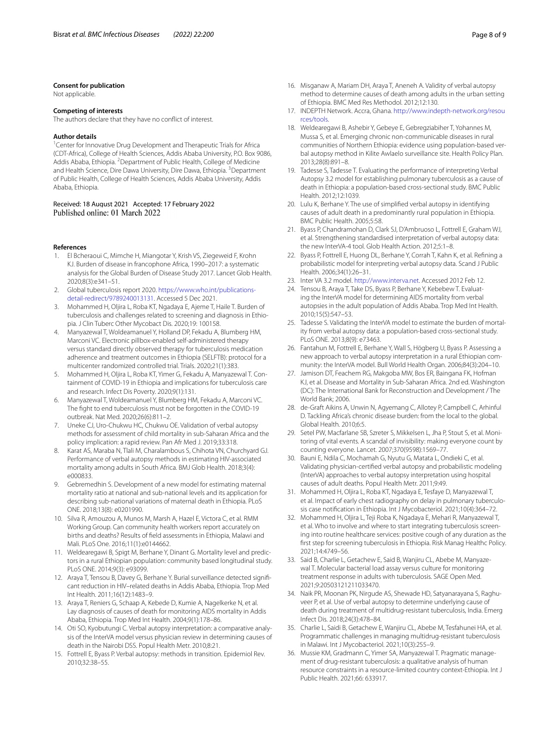#### **Consent for publication**

Not applicable.

## **Competing of interests**

The authors declare that they have no confict of interest.

#### **Author details**

<sup>1</sup> Center for Innovative Drug Development and Therapeutic Trials for Africa (CDT-Africa), College of Health Sciences, Addis Ababa University, P.O. Box 9086, Addis Ababa, Ethiopia. <sup>2</sup> Department of Public Health, College of Medicine and Health Science, Dire Dawa University, Dire Dawa, Ethiopia. <sup>3</sup> Department of Public Health, College of Health Sciences, Addis Ababa University, Addis Ababa, Ethiopia.

Received: 18 August 2021 Accepted: 17 February 2022 Published online: 01 March 2022

#### **References**

- <span id="page-7-0"></span>1. El Bcheraoui C, Mimche H, Miangotar Y, Krish VS, Ziegeweid F, Krohn KJ. Burden of disease in francophone Africa, 1990–2017: a systematic analysis for the Global Burden of Disease Study 2017. Lancet Glob Health. 2020;8(3):e341–51.
- <span id="page-7-1"></span>2. Global tuberculosis report 2020. [https://www.who.int/publications](https://www.who.int/publications-detail-redirect/9789240013131)[detail-redirect/9789240013131.](https://www.who.int/publications-detail-redirect/9789240013131) Accessed 5 Dec 2021.
- <span id="page-7-2"></span>3. Mohammed H, Oljira L, Roba KT, Ngadaya E, Ajeme T, Haile T. Burden of tuberculosis and challenges related to screening and diagnosis in Ethiopia. J Clin Tuberc Other Mycobact Dis. 2020;19: 100158.
- Manyazewal T, Woldeamanuel Y, Holland DP, Fekadu A, Blumberg HM, Marconi VC. Electronic pillbox-enabled self-administered therapy versus standard directly observed therapy for tuberculosis medication adherence and treatment outcomes in Ethiopia (SELFTB): protocol for a multicenter randomized controlled trial. Trials. 2020;21(1):383.
- 5. Mohammed H, Oljira L, Roba KT, Yimer G, Fekadu A, Manyazewal T. Containment of COVID-19 in Ethiopia and implications for tuberculosis care and research. Infect Dis Poverty. 2020;9(1):131.
- <span id="page-7-3"></span>6. Manyazewal T, Woldeamanuel Y, Blumberg HM, Fekadu A, Marconi VC. The fght to end tuberculosis must not be forgotten in the COVID-19 outbreak. Nat Med. 2020;26(6):811–2.
- <span id="page-7-4"></span>7. Uneke CJ, Uro-Chukwu HC, Chukwu OE. Validation of verbal autopsy methods for assessment of child mortality in sub-Saharan Africa and the policy implication: a rapid review. Pan Afr Med J. 2019;33:318.
- 8. Karat AS, Maraba N, Tlali M, Charalambous S, Chihota VN, Churchyard GJ. Performance of verbal autopsy methods in estimating HIV-associated mortality among adults in South Africa. BMJ Glob Health. 2018;3(4): e000833.
- <span id="page-7-5"></span>9. Gebremedhin S. Development of a new model for estimating maternal mortality ratio at national and sub-national levels and its application for describing sub-national variations of maternal death in Ethiopia. PLoS ONE. 2018;13(8): e0201990.
- 10. Silva R, Amouzou A, Munos M, Marsh A, Hazel E, Victora C, et al. RMM Working Group. Can community health workers report accurately on births and deaths? Results of feld assessments in Ethiopia, Malawi and Mali. PLoS One. 2016;11(1):e0144662.
- <span id="page-7-6"></span>11. Weldearegawi B, Spigt M, Berhane Y, Dinant G. Mortality level and predictors in a rural Ethiopian population: community based longitudinal study. PLoS ONE. 2014;9(3): e93099.
- <span id="page-7-7"></span>12. Araya T, Tensou B, Davey G, Berhane Y. Burial surveillance detected signifcant reduction in HIV–related deaths in Addis Ababa, Ethiopia. Trop Med Int Health. 2011;16(12):1483–9.
- <span id="page-7-8"></span>13. Araya T, Reniers G, Schaap A, Kebede D, Kumie A, Nagelkerke N, et al. Lay diagnosis of causes of death for monitoring AIDS mortality in Addis Ababa, Ethiopia. Trop Med Int Health. 2004;9(1):178–86.
- <span id="page-7-9"></span>14. Oti SO, Kyobutungi C. Verbal autopsy interpretation: a comparative analysis of the InterVA model versus physician review in determining causes of death in the Nairobi DSS. Popul Health Metr. 2010;8:21.
- <span id="page-7-10"></span>15. Fottrell E, Byass P. Verbal autopsy: methods in transition. Epidemiol Rev. 2010;32:38–55.
- <span id="page-7-11"></span>16. Misganaw A, Mariam DH, Araya T, Aneneh A. Validity of verbal autopsy method to determine causes of death among adults in the urban setting of Ethiopia. BMC Med Res Methodol. 2012;12:130.
- <span id="page-7-12"></span>17. INDEPTH Network. Accra, Ghana. [http://www.indepth-network.org/resou](http://www.indepth-network.org/resources/tools) [rces/tools.](http://www.indepth-network.org/resources/tools)
- <span id="page-7-13"></span>18. Weldearegawi B, Ashebir Y, Gebeye E, Gebregziabiher T, Yohannes M, Mussa S, et al. Emerging chronic non-communicable diseases in rural communities of Northern Ethiopia: evidence using population-based verbal autopsy method in Kilite Awlaelo surveillance site. Health Policy Plan. 2013;28(8):891–8.
- 19. Tadesse S, Tadesse T. Evaluating the performance of interpreting Verbal Autopsy 3.2 model for establishing pulmonary tuberculosis as a cause of death in Ethiopia: a population-based cross-sectional study. BMC Public Health. 2012;12:1039.
- <span id="page-7-14"></span>20. Lulu K, Berhane Y. The use of simplifed verbal autopsy in identifying causes of adult death in a predominantly rural population in Ethiopia. BMC Public Health. 2005;5:58.
- <span id="page-7-15"></span>21. Byass P, Chandramohan D, Clark SJ, D'Ambruoso L, Fottrell E, Graham WJ, et al. Strengthening standardised interpretation of verbal autopsy data: the new InterVA-4 tool. Glob Health Action. 2012;5:1–8.
- <span id="page-7-16"></span>22. Byass P, Fottrell E, Huong DL, Berhane Y, Corrah T, Kahn K, et al. Refning a probabilistic model for interpreting verbal autopsy data. Scand J Public Health. 2006;34(1):26–31.
- <span id="page-7-17"></span>23. Inter VA 3.2 model. [http://www.interva.net.](http://www.interva.net) Accessed 2012 Feb 12.
- <span id="page-7-18"></span>24. Tensou B, Araya T, Take DS, Byass P, Berhane Y, Kebebew T. Evaluating the InterVA model for determining AIDS mortality from verbal autopsies in the adult population of Addis Ababa. Trop Med Int Health. 2010;15(5):547–53.
- <span id="page-7-19"></span>25. Tadesse S. Validating the InterVA model to estimate the burden of mortality from verbal autopsy data: a population-based cross-sectional study. PLoS ONE. 2013;8(9): e73463.
- <span id="page-7-20"></span>26. Fantahun M, Fottrell E, Berhane Y, Wall S, Högberg U, Byass P. Assessing a new approach to verbal autopsy interpretation in a rural Ethiopian community: the InterVA model. Bull World Health Organ. 2006;84(3):204–10.
- <span id="page-7-21"></span>27. Jamison DT, Feachem RG, Makgoba MW, Bos ER, Baingana FK, Hofman KJ, et al. Disease and Mortality in Sub-Saharan Africa. 2nd ed. Washington (DC): The International Bank for Reconstruction and Development / The World Bank; 2006.
- <span id="page-7-22"></span>28. de-Graft Aikins A, Unwin N, Agyemang C, Allotey P, Campbell C, Arhinful D. Tackling Africa's chronic disease burden: from the local to the global. Global Health. 2010;6:5.
- <span id="page-7-23"></span>29. Setel PW, Macfarlane SB, Szreter S, Mikkelsen L, Jha P, Stout S, et al. Monitoring of vital events. A scandal of invisibility: making everyone count by counting everyone. Lancet. 2007;370(9598):1569–77.
- <span id="page-7-24"></span>30. Bauni E, Ndila C, Mochamah G, Nyutu G, Matata L, Ondieki C, et al. Validating physician-certifed verbal autopsy and probabilistic modeling (InterVA) approaches to verbal autopsy interpretation using hospital causes of adult deaths. Popul Health Metr. 2011;9:49.
- <span id="page-7-25"></span>31. Mohammed H, Oljira L, Roba KT, Ngadaya E, Tesfaye D, Manyazewal T, et al. Impact of early chest radiography on delay in pulmonary tuberculosis case notifcation in Ethiopia. Int J Mycobacteriol. 2021;10(4):364–72.
- 32. Mohammed H, Oljira L, Teji Roba K, Ngadaya E, Mehari R, Manyazewal T, et al. Who to involve and where to start integrating tuberculosis screening into routine healthcare services: positive cough of any duration as the frst step for screening tuberculosis in Ethiopia. Risk Manag Healthc Policy. 2021;14:4749–56.
- <span id="page-7-26"></span>33. Said B, Charlie L, Getachew E, Said B, Wanjiru CL, Abebe M, Manyazewal T. Molecular bacterial load assay versus culture for monitoring treatment response in adults with tuberculosis. SAGE Open Med. 2021;9:20503121211033470.
- <span id="page-7-27"></span>34. Naik PR, Moonan PK, Nirgude AS, Shewade HD, Satyanarayana S, Raghuveer P, et al. Use of verbal autopsy to determine underlying cause of death during treatment of multidrug-resistant tuberculosis, India. Emerg Infect Dis. 2018;24(3):478–84.
- <span id="page-7-28"></span>35. Charlie L, Saidi B, Getachew E, Wanjiru CL, Abebe M, Tesfahunei HA, et al. Programmatic challenges in managing multidrug-resistant tuberculosis in Malawi. Int J Mycobacteriol. 2021;10(3):255–9.
- <span id="page-7-29"></span>36. Mussie KM, Gradmann C, Yimer SA, Manyazewal T. Pragmatic management of drug-resistant tuberculosis: a qualitative analysis of human resource constraints in a resource-limited country context-Ethiopia. Int J Public Health. 2021;66: 633917.